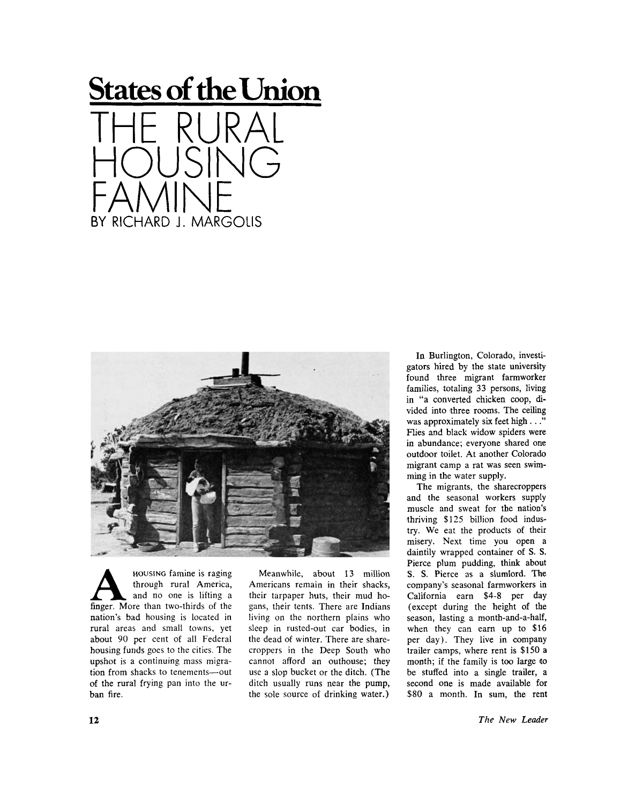## **States of the Union**





**A EXECUTE:** HOUSING famine is raging<br>through rural America,<br>finger. More than two-thirds of the **HOUSING** famine is raging through rural America, and no one is lifting a nation's bad housing is located in rural areas and small towns, yet about 90 per cent of all Federal housing funds goes to the cities. The upshot is a continuing mass migration from shacks to tenements—out of the rural frying pan into the urban fire.

Meanwhile, about 13 million Americans remain in their shacks, their tarpaper huts, their mud hogans, their tents. There are Indians living on the northern plains who sleep in rusted-out car bodies, in the dead of winter. There are sharecroppers in the Deep South who cannot afford an outhouse; they use a slop bucket or the ditch. (The ditch usually runs near the pump, the sole source of drinking water.)

In Burlington, Colorado, investigators hired by the state university found three migrant farmworker families, totaling 33 persons, living in "a converted chicken coop, divided into three rooms. The ceiling was approximately six feet high . . ." Flies and black widow spiders were in abundance; everyone shared one outdoor toilet. At another Colorado migrant camp a rat was seen swimming in the water supply.

The migrants, the sharecroppers and the seasonal workers supply muscle and sweat for the nation's thriving \$125 billion food industry. We eat the products of their misery. Next time you open a daintily wrapped container of S. S. Pierce plum pudding, think about S. S. Pierce as a slumlord. The company's seasonal farmworkers in California earn \$4-8 per day (except during the height of the season, lasting a month-and-a-half, when they can earn up to \$16 per day). They live in company trailer camps, where rent is \$150 a month; if the family is too large to be stuffed into a single trailer, a second one is made available for \$80 a month. In sum, the rent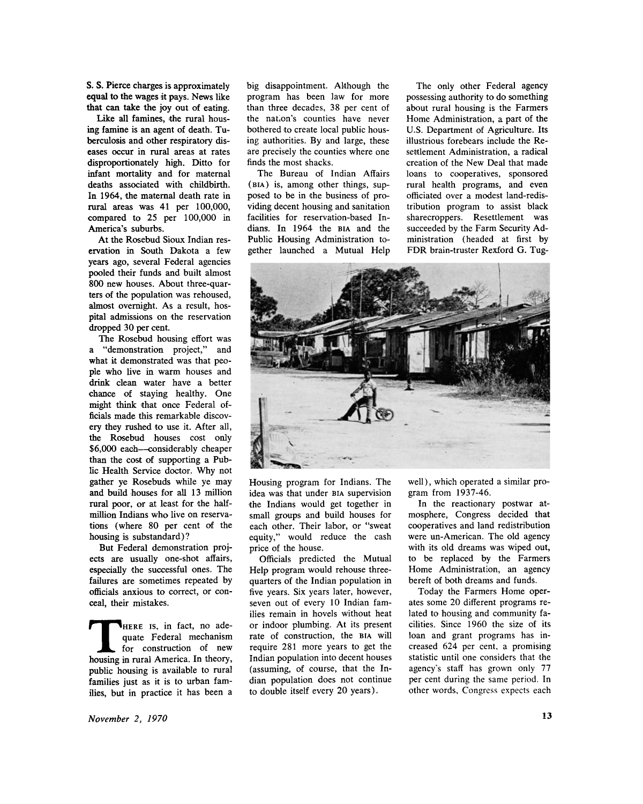**S. S.** Pierce charges is approximately equal to the wages it pays. News like that can take the joy out of eating.

Like all famines, the rural housing famine is an agent of death. Tuberculosis and other respiratory diseases occur in rural areas at rates disproportionately high. Ditto for infant mortality and for maternal deaths associated with childbirth. In 1964, the maternal death rate in rural areas was 41 per 100,000, compared to 25 per 100,000 in America's suburbs.

At the Rosebud Sioux Indian reservation in South Dakota a few years ago, several Federal agencies pooled their funds and built almost 800 new houses. About three-quarters of the population was rehoused, almost overnight. As a result, hospital admissions on the reservation dropped 30 per cent.

The Rosebud housing effort was a "demonstration project," and what it demonstrated was that people who live in warm houses and drink clean water have a better chance of staying healthy. One might think that once Federal officials made this remarkable discovery they rushed to use it. After all, the Rosebud houses cost only \$6,000 each—considerably cheaper than the cost of supporting a Public Health Service doctor. Why not gather ye Rosebuds while ye may and build houses for all 13 million rural poor, or at least for the halfmillion Indians who live on reservations (where 80 per cent of the housing is substandard)?

But Federal demonstration projects are usually one-shot affairs, especially the successful ones. The failures are sometimes repeated by officials anxious to correct, or conceal, their mistakes.

**THERE IS, in fact, no adequate Federal mechanism**<br>for construction of new<br>housing in rural America. In theory, **HERE** is, in fact, no adequate Federal mechanism for construction of new public housing is available to rural families just as it is to urban families, but in practice it has been a

big disappointment. Although the program has been law for more than three decades, 38 per cent of the nation's counties have never bothered to create local public housing authorities. By and large, these are precisely the counties where one finds the most shacks.

The Bureau of Indian Affairs **(BIA**) is, among other things, supposed to be in the business of providing decent housing and sanitation facilities for reservation-based Indians. In 1964 the **BIA** and the Public Housing Administration together launched a Mutual Help

The only other Federal agency possessing authority to do something about rural housing is the Farmers Home Administration, a part of the U.S. Department of Agriculture. Its illustrious forebears include the Resettlement Administration, a radical creation of the New Deal that made loans to cooperatives, sponsored rural health programs, and even officiated over a modest land-redistribution program to assist black sharecroppers. Resettlement was succeeded by the Farm Security Administration (headed at first by FDR brain-truster Rexford G. Tug-



Housing program for Indians. The idea was that under **BIA** supervision the Indians would get together in small groups and build houses for each other. Their labor, or "sweat equity," would reduce the cash price of the house.

Officials predicted the Mutual Help program would rehouse threequarters of the Indian population in five years. Six years later, however, seven out of every 10 Indian families remain in hovels without heat or indoor plumbing. At its present rate of construction, the **BIA** will require 281 more years to get the Indian population into decent houses (assuming, of course, that the Indian population does not continue to double itself every 20 years).

well), which operated a similar program from 1937-46.

In the reactionary postwar atmosphere, Congress decided that cooperatives and land redistribution were un-American. The old agency with its old dreams was wiped out, to be replaced by the Farmers Home Administration, an agency bereft of both dreams and funds.

Today the Farmers Home operates some 20 different programs related to housing and community facilities. Since 1960 the size of its loan and grant programs has increased 624 per cent, a promising statistic until one considers that the agency's staff has grown only 77 per cent during the same period. In other words. Congress expects each